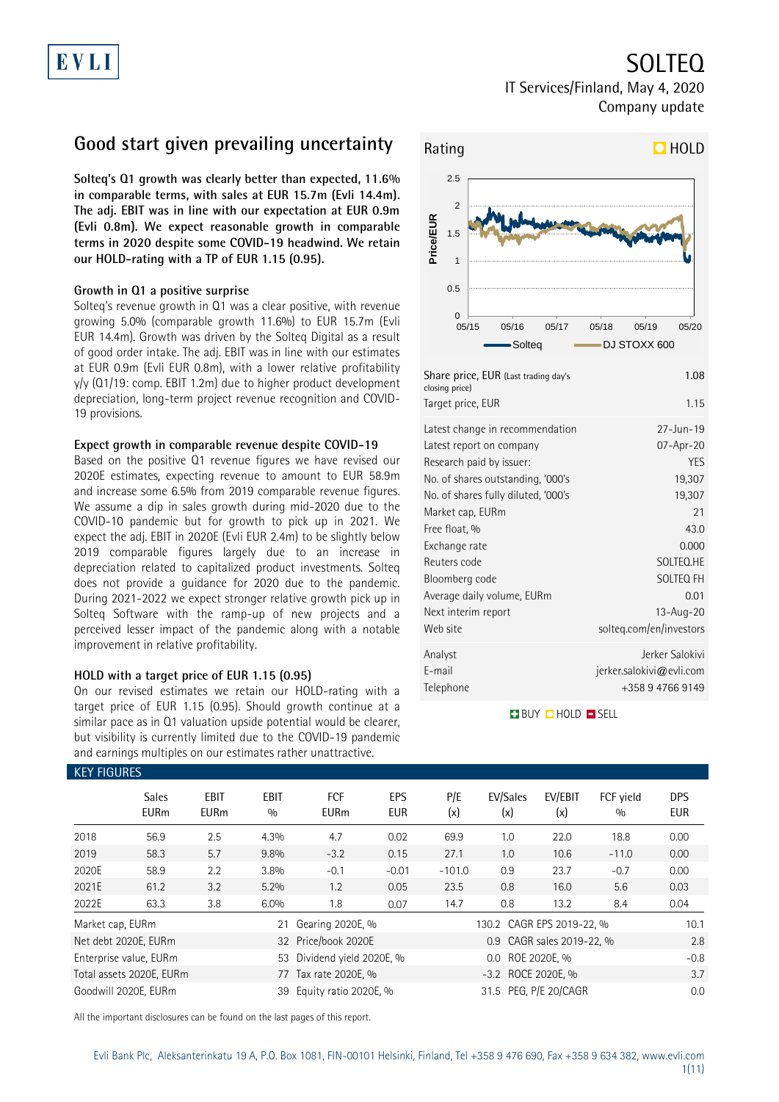# EVLI

IT Services/Finland, May 4, 2020 Company update

### **Good start given prevailing uncertainty**

**Solteq's Q1 growth was clearly better than expected, 11.6% in comparable terms, with sales at EUR 15.7m (Evli 14.4m). The adj. EBIT was in line with our expectation at EUR 0.9m (Evli 0.8m). We expect reasonable growth in comparable terms in 2020 despite some COVID-19 headwind. We retain our HOLD-rating with a TP of EUR 1.15 (0.95).** 

#### **Growth in Q1 a positive surprise**

Solteq's revenue growth in Q1 was a clear positive, with revenue growing 5.0% (comparable growth 11.6%) to EUR 15.7m (Evli EUR 14.4m). Growth was driven by the Solteq Digital as a result of good order intake. The adj. EBIT was in line with our estimates at EUR 0.9m (Evli EUR 0.8m), with a lower relative profitability y/y (Q1/19: comp. EBIT 1.2m) due to higher product development depreciation, long-term project revenue recognition and COVID-19 provisions.

#### **Expect growth in comparable revenue despite COVID-19**

Based on the positive Q1 revenue figures we have revised our 2020E estimates, expecting revenue to amount to EUR 58.9m and increase some 6.5% from 2019 comparable revenue figures. We assume a dip in sales growth during mid-2020 due to the COVID-10 pandemic but for growth to pick up in 2021. We expect the adj. EBIT in 2020E (Evli EUR 2.4m) to be slightly below 2019 comparable figures largely due to an increase in depreciation related to capitalized product investments. Solteq does not provide a guidance for 2020 due to the pandemic. During 2021-2022 we expect stronger relative growth pick up in Solteq Software with the ramp-up of new projects and a perceived lesser impact of the pandemic along with a notable improvement in relative profitability.

#### **HOLD with a target price of EUR 1.15 (0.95)**

On our revised estimates we retain our HOLD-rating with a target price of EUR 1.15 (0.95). Should growth continue at a similar pace as in Q1 valuation upside potential would be clearer, but visibility is currently limited due to the COVID-19 pandemic and earnings multiples on our estimates rather unattractive.



### Telephone +358 9 4766 9149 **BUY QHOLD SELL**

| <b>KEY FIGURES</b> |                             |                            |                    |                           |                   |                    |                           |                           |                  |                          |
|--------------------|-----------------------------|----------------------------|--------------------|---------------------------|-------------------|--------------------|---------------------------|---------------------------|------------------|--------------------------|
|                    | <b>Sales</b><br><b>EURm</b> | <b>EBIT</b><br><b>EURm</b> | <b>EBIT</b><br>0/0 | <b>FCF</b><br><b>EURm</b> | EPS<br><b>EUR</b> | P/E<br>(x)         | EV/Sales<br>(x)           | EV/EBIT<br>(x)            | FCF vield<br>0/0 | <b>DPS</b><br><b>EUR</b> |
| 2018               | 56.9                        | 2.5                        | 4.3%               | 4.7                       | 0.02              | 69.9               | 1.0                       | 22.0                      | 18.8             | 0.00                     |
| 2019               | 58.3                        | 5.7                        | 9.8%               | $-3.2$                    | 0.15              | 27.1               | 1.0                       | 10.6                      | $-11.0$          | 0.00                     |
| 2020E              | 58.9                        | 2.2                        | 3.8%               | $-0.1$                    | $-0.01$           | $-101.0$           | 0.9                       | 23.7                      | $-0.7$           | 0.00                     |
| 2021E              | 61.2                        | 3.2                        | 5.2%               | 1.2                       | 0.05              | 23.5               | 0.8                       | 16.0                      | 5.6              | 0.03                     |
| 2022E              | 63.3                        | 3.8                        | 6.0%               | 1.8                       | 0.07              | 14.7               | 0.8                       | 13.2                      | 8.4              | 0.04                     |
| Market cap, EURm   |                             |                            | 21                 | Gearing 2020E, %          |                   |                    | 130.2 CAGR EPS 2019-22, % |                           |                  | 10.1                     |
|                    | Net debt 2020E, EURm        |                            |                    | 32 Price/book 2020E       |                   |                    |                           | 0.9 CAGR sales 2019-22, % |                  | 2.8                      |
|                    | Enterprise value, EURm      |                            | 53                 | Dividend yield 2020E, %   |                   |                    | 0.0 ROE 2020E. %          |                           |                  | $-0.8$                   |
|                    | Total assets 2020E, EURm    |                            |                    | 77 Tax rate 2020E, %      |                   | -3.2 ROCE 2020E, % |                           |                           |                  | 3.7                      |
|                    | Goodwill 2020E, EURm        |                            | 39                 | Equity ratio 2020E, %     |                   |                    | 31.5 PEG, P/E 20/CAGR     |                           |                  | 0.0                      |

All the important disclosures can be found on the last pages of this report.

SOLTEQ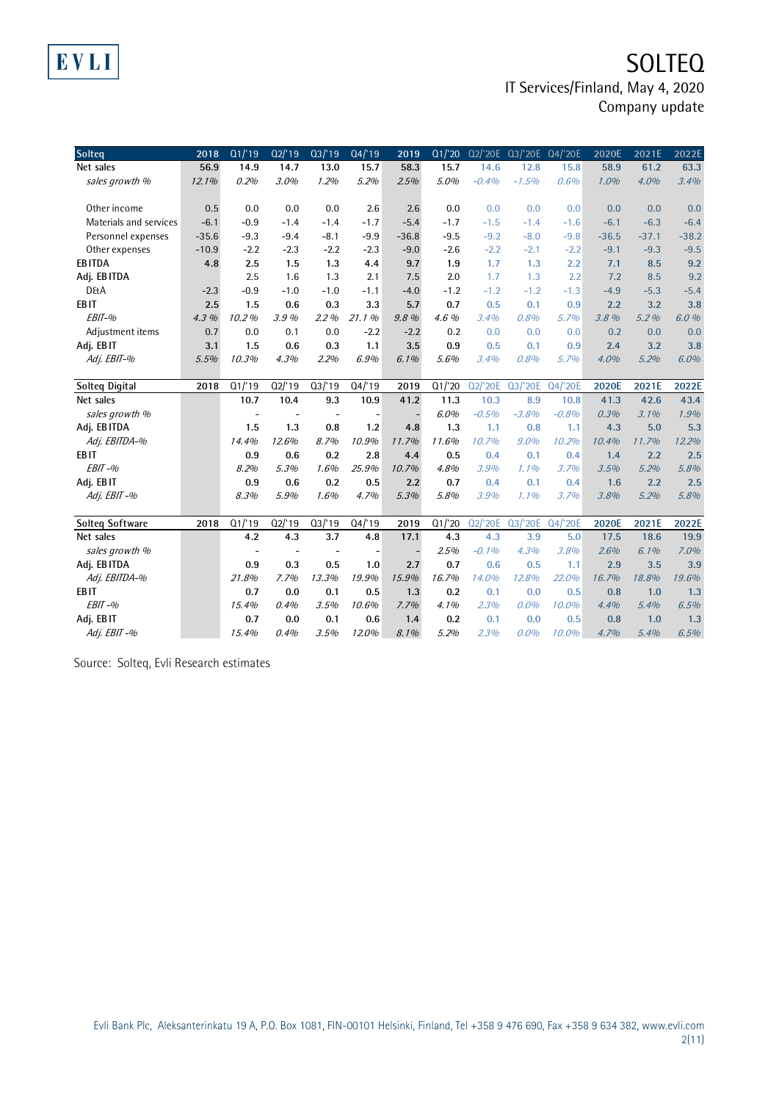### **SOLTEQ** IT Services/Finland, May 4, 2020 Company update

| Solteq                 | 2018    | Q1/19                    | Q2'19     | Q3/19                    | Q4/19                    | 2019    | Q1/20  | Q2/'20E |         | Q3/'20E Q4/'20E | 2020E   | 2021E   | 2022E   |
|------------------------|---------|--------------------------|-----------|--------------------------|--------------------------|---------|--------|---------|---------|-----------------|---------|---------|---------|
| Net sales              | 56.9    | 14.9                     | 14.7      | 13.0                     | 15.7                     | 58.3    | 15.7   | 14.6    | 12.8    | 15.8            | 58.9    | 61.2    | 63.3    |
| sales growth %         | 12.1%   | 0.2%                     | 3.0%      | 1.2%                     | 5.2%                     | 2.5%    | 5.0%   | $-0.4%$ | $-1.5%$ | 0.6%            | 1.0%    | 4.0%    | 3.4%    |
|                        |         |                          |           |                          |                          |         |        |         |         |                 |         |         |         |
| Other income           | 0.5     | 0.0                      | 0.0       | 0.0                      | 2.6                      | 2.6     | 0.0    | 0.0     | 0.0     | 0.0             | 0.0     | 0.0     | 0.0     |
| Materials and services | $-6.1$  | $-0.9$                   | $-1.4$    | $-1.4$                   | $-1.7$                   | $-5.4$  | $-1.7$ | $-1.5$  | $-1.4$  | $-1.6$          | $-6.1$  | $-6.3$  | $-6.4$  |
| Personnel expenses     | $-35.6$ | $-9.3$                   | $-9.4$    | $-8.1$                   | $-9.9$                   | $-36.8$ | $-9.5$ | $-9.2$  | $-8.0$  | $-9.8$          | $-36.5$ | $-37.1$ | $-38.2$ |
| Other expenses         | $-10.9$ | $-2.2$                   | $-2.3$    | $-2.2$                   | $-2.3$                   | $-9.0$  | $-2.6$ | $-2.2$  | $-2.1$  | $-2.2$          | $-9.1$  | $-9.3$  | $-9.5$  |
| <b>EBITDA</b>          | 4.8     | 2.5                      | 1.5       | 1.3                      | 4.4                      | 9.7     | 1.9    | 1.7     | 1.3     | 2.2             | 7.1     | 8.5     | 9.2     |
| Adj. EBITDA            |         | 2.5                      | 1.6       | 1.3                      | 2.1                      | 7.5     | 2.0    | 1.7     | 1.3     | 2.2             | 7.2     | 8.5     | 9.2     |
| <b>D&amp;A</b>         | $-2.3$  | $-0.9$                   | $-1.0$    | $-1.0$                   | $-1.1$                   | $-4.0$  | $-1.2$ | $-1.2$  | $-1.2$  | $-1.3$          | $-4.9$  | $-5.3$  | $-5.4$  |
| EB <sub>IT</sub>       | 2.5     | 1.5                      | 0.6       | 0.3                      | 3.3                      | 5.7     | 0.7    | 0.5     | 0.1     | 0.9             | 2.2     | 3.2     | 3.8     |
| EBIT-%                 | 4.3%    | 10.2%                    | 3.9%      | 2.2%                     | 21.1%                    | 9.8%    | 4.6%   | 3.4%    | 0.8%    | 5.7%            | 3.8 %   | 5.2%    | 6.0%    |
| Adjustment items       | 0.7     | 0.0                      | 0.1       | 0.0                      | $-2.2$                   | $-2.2$  | 0.2    | 0.0     | 0.0     | 0.0             | 0.2     | 0.0     | 0.0     |
| Adj. EBIT              | 3.1     | 1.5                      | 0.6       | 0.3                      | 1.1                      | 3.5     | 0.9    | 0.5     | 0.1     | 0.9             | 2.4     | 3.2     | 3.8     |
| Adj. EBIT-%            | 5.5%    | 10.3%                    | 4.3%      | 2.2%                     | 6.9%                     | 6.1%    | 5.6%   | 3.4%    | 0.8%    | 5.7%            | 4.0%    | 5.2%    | 6.0%    |
|                        |         |                          |           |                          |                          |         |        |         |         |                 |         |         |         |
| Solteg Digital         | 2018    | Q1/19                    | $Q2$ /'19 | Q3/19                    | Q4/19                    | 2019    | Q1/20  | Q2/'20E | Q3/'20E | Q4/'20E         | 2020E   | 2021E   | 2022E   |
| Net sales              |         | 10.7                     | 10.4      | 9.3                      | 10.9                     | 41.2    | 11.3   | 10.3    | 8.9     | 10.8            | 41.3    | 42.6    | 43.4    |
| sales growth %         |         | ÷,                       |           | $\overline{\phantom{a}}$ |                          |         | 6.0%   | $-0.5%$ | $-3.8%$ | $-0.8%$         | 0.3%    | 3.1%    | 1.9%    |
| Adj. EBITDA            |         | 1.5                      | 1.3       | 0.8                      | 1.2                      | 4.8     | 1.3    | 1.1     | 0.8     | 1.1             | 4.3     | 5.0     | 5.3     |
| Adj. EBITDA-%          |         | 14.4%                    | 12.6%     | 8.7%                     | 10.9%                    | 11.7%   | 11.6%  | 10.7%   | $9.0\%$ | 10.2%           | 10.4%   | 11.7%   | 12.2%   |
| EB <sub>IT</sub>       |         | 0.9                      | 0.6       | 0.2                      | 2.8                      | 4.4     | 0.5    | 0.4     | 0.1     | 0.4             | 1.4     | 2.2     | 2.5     |
| $EBIT-96$              |         | 8.2%                     | 5.3%      | 1.6%                     | 25.9%                    | 10.7%   | 4.8%   | 3.9%    | 1.1%    | 3.7%            | 3.5%    | 5.2%    | 5.8%    |
| Adj. EBIT              |         | 0.9                      | 0.6       | 0.2                      | 0.5                      | 2.2     | 0.7    | 0.4     | 0.1     | 0.4             | 1.6     | 2.2     | 2.5     |
| Adj. EBIT-%            |         | 8.3%                     | 5.9%      | 1.6%                     | 4.7%                     | 5.3%    | 5.8%   | 3.9%    | 1.1%    | 3.7%            | 3.8%    | 5.2%    | 5.8%    |
|                        |         |                          |           |                          |                          |         |        |         |         |                 |         |         |         |
| <b>Solteg Software</b> | 2018    | Q1'19                    | $Q2$ /'19 | Q3/19                    | Q4/19                    | 2019    | Q1/20  | Q2/'20E | Q3/'20E | Q4/'20E         | 2020E   | 2021E   | 2022E   |
| Net sales              |         | 4.2                      | 4.3       | 3.7                      | 4.8                      | 17.1    | 4.3    | 4.3     | 3.9     | 5.0             | 17.5    | 18.6    | 19.9    |
| sales growth %         |         | $\overline{\phantom{a}}$ |           | $\overline{\phantom{a}}$ | $\overline{\phantom{a}}$ |         | 2.5%   | $-0.1%$ | 4.3%    | 3.8%            | 2.6%    | $6.1\%$ | 7.0%    |
| Adj. EBITDA            |         | 0.9                      | 0.3       | 0.5                      | 1.0                      | 2.7     | 0.7    | 0.6     | 0.5     | 1.1             | 2.9     | 3.5     | 3.9     |
| Adj. EBITDA-%          |         | 21.8%                    | 7.7%      | 13.3%                    | 19.9%                    | 15.9%   | 16.7%  | 14.0%   | 12.8%   | 22.0%           | 16.7%   | 18.8%   | 19.6%   |
| EB <sub>IT</sub>       |         | 0.7                      | 0.0       | 0.1                      | 0.5                      | 1.3     | 0.2    | 0.1     | 0.0     | 0.5             | 0.8     | 1.0     | 1.3     |
| $EBIT-96$              |         | 15.4%                    | 0.4%      | 3.5%                     | 10.6%                    | 7.7%    | 4.1%   | 2.3%    | $0.0\%$ | 10.0%           | 4.4%    | 5.4%    | 6.5%    |
| Adj. EBIT              |         | 0.7                      | 0.0       | 0.1                      | 0.6                      | 1.4     | 0.2    | 0.1     | 0.0     | 0.5             | 0.8     | 1.0     | 1.3     |
| Adj. EBIT-%            |         | 15.4%                    | 0.4%      | 3.5%                     | 12.0%                    | 8.1%    | 5.2%   | 2.3%    | $0.0\%$ | 10.0%           | 4.7%    | 5.4%    | 6.5%    |

Source: Solteq, Evli Research estimates

EVLI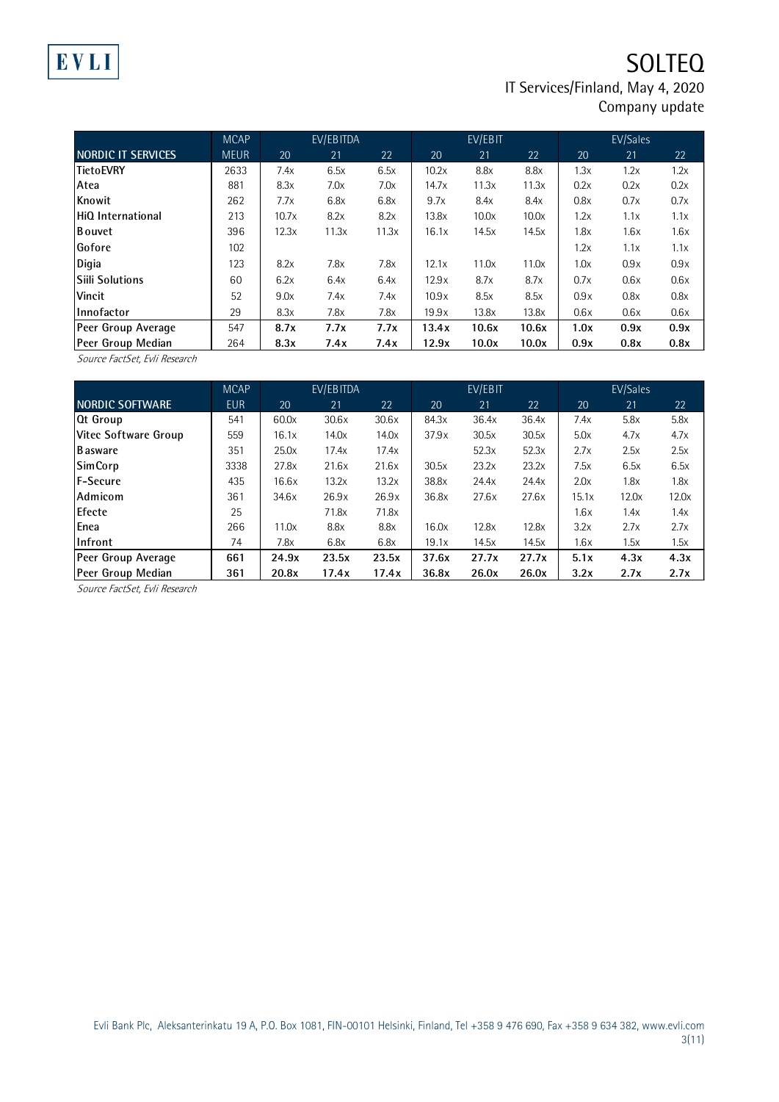### **SOLTEQ** IT Services/Finland, May 4, 2020 Company update

|                    | <b>MCAP</b> |       | EV/EBITDA |       |       | EV/EBIT |       |      | EV/Sales |      |
|--------------------|-------------|-------|-----------|-------|-------|---------|-------|------|----------|------|
| NORDIC IT SERVICES | <b>MEUR</b> | 20    | 21        | 22    | 20    | 21      | 22    | 20   | 21       | 22   |
| TietoEVRY          | 2633        | 7.4x  | 6.5x      | 6.5x  | 10.2x | 8.8x    | 8.8x  | 1.3x | 1.2x     | 1.2x |
| Atea               | 881         | 8.3x  | 7.0x      | 7.0x  | 14.7x | 11.3x   | 11.3x | 0.2x | 0.2x     | 0.2x |
| Knowit             | 262         | 7.7x  | 6.8x      | 6.8x  | 9.7x  | 8.4x    | 8.4x  | 0.8x | 0.7x     | 0.7x |
| HiQ International  | 213         | 10.7x | 8.2x      | 8.2x  | 13.8x | 10.0x   | 10.0x | 1.2x | 1.1x     | 1.1x |
| <b>Bouvet</b>      | 396         | 12.3x | 11.3x     | 11.3x | 16.1x | 14.5x   | 14.5x | 1.8x | 1.6x     | 1.6x |
| Gofore             | 102         |       |           |       |       |         |       | 1.2x | 1.1x     | 1.1x |
| Digia              | 123         | 8.2x  | 7.8x      | 7.8x  | 12.1x | 11.0x   | 11.0x | 1.0x | 0.9x     | 0.9x |
| Siili Solutions    | 60          | 6.2x  | 6.4x      | 6.4x  | 12.9x | 8.7x    | 8.7x  | 0.7x | 0.6x     | 0.6x |
| Vincit             | 52          | 9.0x  | 7.4x      | 7.4x  | 10.9x | 8.5x    | 8.5x  | 0.9x | 0.8x     | 0.8x |
| Innofactor         | 29          | 8.3x  | 7.8x      | 7.8x  | 19.9x | 13.8x   | 13.8x | 0.6x | 0.6x     | 0.6x |
| Peer Group Average | 547         | 8.7x  | 7.7x      | 7.7x  | 13.4x | 10.6x   | 10.6x | 1.0x | 0.9x     | 0.9x |
| Peer Group Median  | 264         | 8.3x  | 7.4x      | 7.4x  | 12.9x | 10.0x   | 10.0x | 0.9x | 0.8x     | 0.8x |

Source FactSet, Evli Research

|                      | <b>MCAP</b> |       | EV/EBITDA |       |       | EV/EBIT |       |       | EV/Sales |       |
|----------------------|-------------|-------|-----------|-------|-------|---------|-------|-------|----------|-------|
| NORDIC SOFTWARE      | <b>EUR</b>  | 20    | 21        | 22    | 20    | 21      | 22    | 20    | 21       | 22    |
| <b>Qt Group</b>      | 541         | 60.0x | 30.6x     | 30.6x | 84.3x | 36.4x   | 36.4x | 7.4x  | 5.8x     | 5.8x  |
| Vitec Software Group | 559         | 16.1x | 14.0x     | 14.0x | 37.9x | 30.5x   | 30.5x | 5.0x  | 4.7x     | 4.7x  |
| <b>B</b> asware      | 351         | 25.0x | 17.4x     | 17.4x |       | 52.3x   | 52.3x | 2.7x  | 2.5x     | 2.5x  |
| <b>SimCorp</b>       | 3338        | 27.8x | 21.6x     | 21.6x | 30.5x | 23.2x   | 23.2x | 7.5x  | 6.5x     | 6.5x  |
| <b>F-Secure</b>      | 435         | 16.6x | 13.2x     | 13.2x | 38.8x | 24.4x   | 24.4x | 2.0x  | 1.8x     | 1.8x  |
| Admicom              | 361         | 34.6x | 26.9x     | 26.9x | 36.8x | 27.6x   | 27.6x | 15.1x | 12.0x    | 12.0x |
| Efecte               | 25          |       | 71.8x     | 71.8x |       |         |       | 1.6x  | 1.4x     | 1.4x  |
| Enea                 | 266         | 11.0x | 8.8x      | 8.8x  | 16.0x | 12.8x   | 12.8x | 3.2x  | 2.7x     | 2.7x  |
| Infront              | 74          | 7.8x  | 6.8x      | 6.8x  | 19.1x | 14.5x   | 14.5x | 1.6x  | 1.5x     | 1.5x  |
| Peer Group Average   | 661         | 24.9x | 23.5x     | 23.5x | 37.6x | 27.7x   | 27.7x | 5.1x  | 4.3x     | 4.3x  |
| Peer Group Median    | 361         | 20.8x | 17.4x     | 17.4x | 36.8x | 26.0x   | 26.0x | 3.2x  | 2.7x     | 2.7x  |

Source FactSet, Evli Research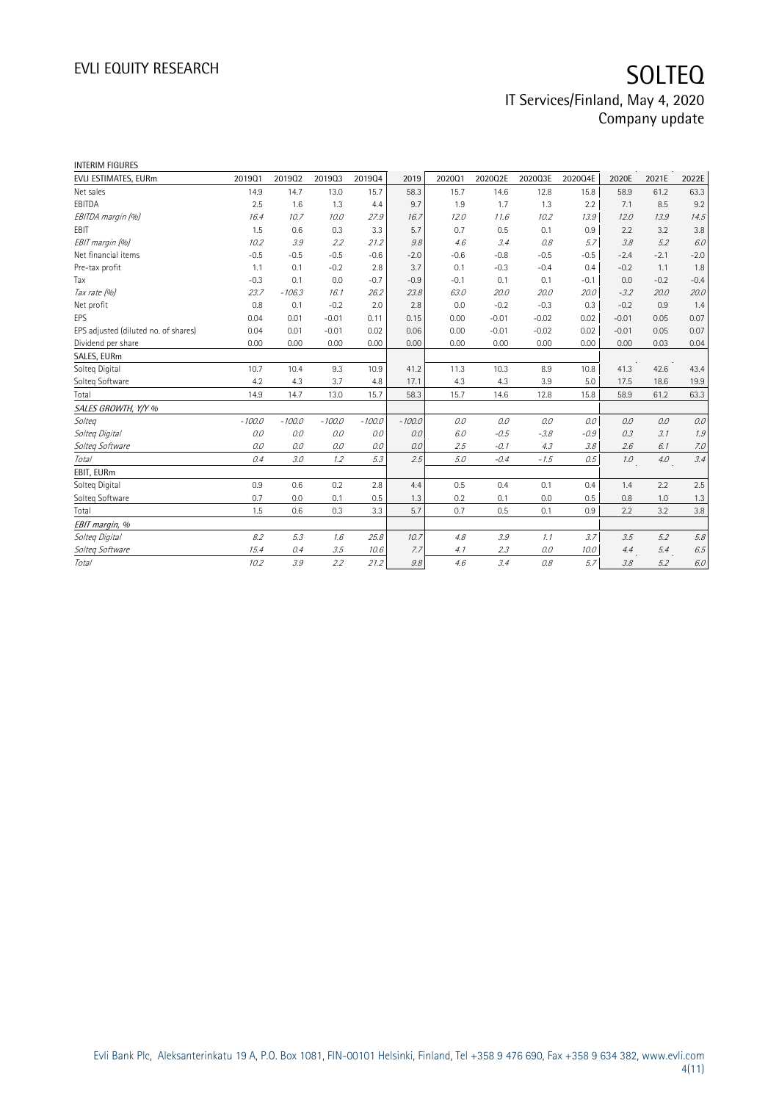| <b>INTERIM FIGURES</b>               |          |          |          |          |          |        |         |         |         |         |        |         |
|--------------------------------------|----------|----------|----------|----------|----------|--------|---------|---------|---------|---------|--------|---------|
| EVLI ESTIMATES, EURm                 | 201901   | 201902   | 201903   | 201904   | 2019     | 202001 | 2020Q2E | 2020Q3E | 2020Q4E | 2020E   | 2021E  | 2022E   |
| Net sales                            | 14.9     | 14.7     | 13.0     | 15.7     | 58.3     | 15.7   | 14.6    | 12.8    | 15.8    | 58.9    | 61.2   | 63.3    |
| EBITDA                               | 2.5      | 1.6      | 1.3      | 4.4      | 9.7      | 1.9    | 1.7     | 1.3     | 2.2     | 7.1     | 8.5    | 9.2     |
| EBITDA margin (%)                    | 16.4     | 10.7     | 10.0     | 27.9     | 16.7     | 12.0   | 11.6    | 10.2    | 13.9    | 12.0    | 13.9   | 14.5    |
| EBIT                                 | 1.5      | 0.6      | 0.3      | 3.3      | 5.7      | 0.7    | 0.5     | 0.1     | 0.9     | 2.2     | 3.2    | 3.8     |
| EBIT margin (%)                      | 10.2     | 3.9      | 2.2      | 21.2     | 9.8      | 4.6    | 3.4     | 0.8     | 5.7     | 3.8     | 5.2    | 6.0     |
| Net financial items                  | $-0.5$   | $-0.5$   | $-0.5$   | $-0.6$   | $-2.0$   | $-0.6$ | $-0.8$  | $-0.5$  | $-0.5$  | $-2.4$  | $-2.1$ | $-2.0$  |
| Pre-tax profit                       | 1.1      | 0.1      | $-0.2$   | 2.8      | 3.7      | 0.1    | $-0.3$  | $-0.4$  | 0.4     | $-0.2$  | 1.1    | 1.8     |
| Tax                                  | $-0.3$   | 0.1      | 0.0      | $-0.7$   | $-0.9$   | $-0.1$ | 0.1     | 0.1     | $-0.1$  | 0.0     | $-0.2$ | $-0.4$  |
| Tax rate (%)                         | 23.7     | $-106.3$ | 16.1     | 26.2     | 23.8     | 63.0   | 20.0    | 20.0    | 20.0    | $-3.2$  | 20.0   | 20.0    |
| Net profit                           | 0.8      | 0.1      | $-0.2$   | 2.0      | 2.8      | 0.0    | $-0.2$  | $-0.3$  | 0.3     | $-0.2$  | 0.9    | 1.4     |
| <b>EPS</b>                           | 0.04     | 0.01     | $-0.01$  | 0.11     | 0.15     | 0.00   | $-0.01$ | $-0.02$ | 0.02    | $-0.01$ | 0.05   | 0.07    |
| EPS adjusted (diluted no. of shares) | 0.04     | 0.01     | $-0.01$  | 0.02     | 0.06     | 0.00   | $-0.01$ | $-0.02$ | 0.02    | $-0.01$ | 0.05   | 0.07    |
| Dividend per share                   | 0.00     | 0.00     | 0.00     | 0.00     | 0.00     | 0.00   | 0.00    | 0.00    | 0.00    | 0.00    | 0.03   | 0.04    |
| SALES, EURm                          |          |          |          |          |          |        |         |         |         |         |        |         |
| Solteg Digital                       | 10.7     | 10.4     | 9.3      | 10.9     | 41.2     | 11.3   | 10.3    | 8.9     | 10.8    | 41.3    | 42.6   | 43.4    |
| Solteg Software                      | 4.2      | 4.3      | 3.7      | 4.8      | 17.1     | 4.3    | 4.3     | 3.9     | 5.0     | 17.5    | 18.6   | 19.9    |
| Total                                | 14.9     | 14.7     | 13.0     | 15.7     | 58.3     | 15.7   | 14.6    | 12.8    | 15.8    | 58.9    | 61.2   | 63.3    |
| SALES GROWTH, Y/Y %                  |          |          |          |          |          |        |         |         |         |         |        |         |
| Solteg                               | $-100.0$ | $-100.0$ | $-100.0$ | $-100.0$ | $-100.0$ | 0.0    | 0.0     | 0.0     | 0.0     | 0.0     | 0.0    | 0.0     |
| Solteg Digital                       | 0.0      | $O.O$    | 0.0      | 0.0      | 0.0      | 6.0    | $-0.5$  | $-3.8$  | $-0.9$  | 0.3     | 3.1    | 1.9     |
| Solteg Software                      | 0.0      | 0.0      | 0.0      | 0.0      | 0.0      | 2.5    | $-0.1$  | 4.3     | 3.8     | 2.6     | 6.1    | 7.0     |
| Total                                | 0.4      | 3.0      | 1.2      | 5.3      | 2.5      | 5.0    | $-0.4$  | $-1.5$  | 0.5     | 1.0     | 4.0    | 3.4     |
| EBIT, EURm                           |          |          |          |          |          |        |         |         |         |         |        |         |
| Solteg Digital                       | 0.9      | 0.6      | 0.2      | 2.8      | 4.4      | 0.5    | 0.4     | 0.1     | 0.4     | 1.4     | 2.2    | 2.5     |
| Solteg Software                      | 0.7      | 0.0      | 0.1      | 0.5      | 1.3      | 0.2    | 0.1     | 0.0     | 0.5     | 0.8     | 1.0    | 1.3     |
| Total                                | 1.5      | 0.6      | 0.3      | 3.3      | 5.7      | 0.7    | 0.5     | 0.1     | 0.9     | 2.2     | 3.2    | 3.8     |
| EBIT margin, %                       |          |          |          |          |          |        |         |         |         |         |        |         |
| Solteg Digital                       | 8.2      | 5.3      | 1.6      | 25.8     | 10.7     | 4.8    | 3.9     | 1.1     | 3.7     | 3.5     | 5.2    | $5.8\,$ |
| Solteg Software                      | 15.4     | 0.4      | 3.5      | 10.6     | 7.7      | 4.1    | 2.3     | $O.O$   | 10.0    | 4.4     | 5.4    | $6.5\,$ |
| Total                                | 10.2     | 3.9      | 2.2      | 21.2     | 9.8      | 4.6    | 3.4     | 0.8     | 5.7     | 3.8     | 5.2    | 6.0     |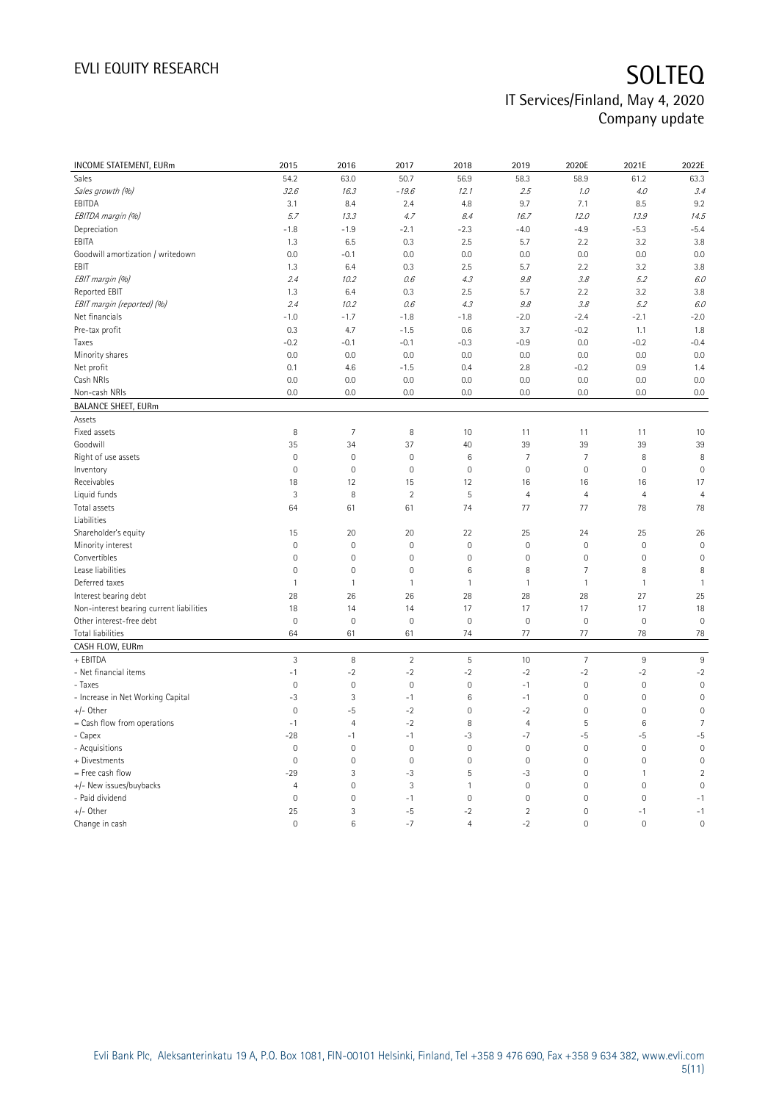| INCOME STATEMENT, EURm                   | 2015           | 2016                | 2017           | 2018           | 2019           | 2020E               | 2021E          | 2022E          |
|------------------------------------------|----------------|---------------------|----------------|----------------|----------------|---------------------|----------------|----------------|
| Sales                                    | 54.2           | 63.0                | 50.7           | 56.9           | 58.3           | 58.9                | 61.2           | 63.3           |
| Sales growth (%)                         | 32.6           | 16.3                | $-19.6$        | 12.1           | 2.5            | 1.0                 | 4.0            | 3.4            |
| EBITDA                                   | 3.1            | 8.4                 | 2.4            | 4.8            | 9.7            | 7.1                 | 8.5            | 9.2            |
| EBITDA margin (%)                        | 5.7            | 13.3                | 4.7            | 8.4            | 16.7           | 12.0                | 13.9           | 14.5           |
| Depreciation                             | $-1.8$         | $-1.9$              | $-2.1$         | $-2.3$         | $-4.0$         | $-4.9$              | $-5.3$         | $-5.4$         |
| EBITA                                    | 1.3            | 6.5                 | 0.3            | 2.5            | 5.7            | 2.2                 | 3.2            | 3.8            |
| Goodwill amortization / writedown        | 0.0            | $-0.1$              | 0.0            | 0.0            | 0.0            | 0.0                 | 0.0            | 0.0            |
| EBIT                                     | 1.3            | 6.4                 | 0.3            | 2.5            | 5.7            | 2.2                 | 3.2            | 3.8            |
| EBIT margin (%)                          | 2.4            | 10.2                | 0.6            | 4.3            | 9.8            | 3.8                 | 5.2            | 6.0            |
| Reported EBIT                            | 1.3            | 6.4                 | 0.3            | 2.5            | 5.7            | 2.2                 | 3.2            | 3.8            |
| EBIT margin (reported) (%)               | 2.4            | 10.2                | 0.6            | 4.3            | 9.8            | 3.8                 | 5.2            | 6.0            |
| Net financials                           | $-1.0$         | $-1.7$              | $-1.8$         | $-1.8$         | $-2.0$         | $-2.4$              | $-2.1$         | $-2.0$         |
| Pre-tax profit                           | 0.3            | 4.7                 | $-1.5$         | 0.6            | 3.7            | $-0.2$              | 1.1            | 1.8            |
| Taxes                                    | $-0.2$         | $-0.1$              | $-0.1$         | $-0.3$         | $-0.9$         | 0.0                 | $-0.2$         | $-0.4$         |
| Minority shares                          | 0.0            | 0.0                 | 0.0            | 0.0            | 0.0            | 0.0                 | 0.0            | 0.0            |
| Net profit                               | 0.1            | 4.6                 | $-1.5$         | 0.4            | 2.8            | $-0.2$              | 0.9            | 1.4            |
| Cash NRIs                                | 0.0            | 0.0                 | 0.0            | 0.0            | 0.0            | 0.0                 | 0.0            | 0.0            |
| Non-cash NRIs                            | 0.0            | 0.0                 | 0.0            | 0.0            | 0.0            | 0.0                 | 0.0            | 0.0            |
| <b>BALANCE SHEET, EURm</b>               |                |                     |                |                |                |                     |                |                |
| Assets                                   |                |                     |                |                |                |                     |                |                |
| Fixed assets                             | 8              | $\overline{7}$      | $\, 8$         | 10             | 11             | 11                  | 11             | 10             |
| Goodwill                                 | 35             | 34                  | 37             | 40             | 39             | 39                  | 39             | 39             |
| Right of use assets                      | $\mathbf 0$    | $\mathbf 0$         | $\mathbf 0$    | $6\,$          | $\overline{7}$ | $\overline{7}$      | 8              | 8              |
| Inventory                                | $\mathbf 0$    | $\mathbf 0$         | $\mathbf 0$    | $\mathbf 0$    | $\mathbf 0$    | $\mathsf{O}\xspace$ | $\mathbf 0$    | $\mathbf 0$    |
| Receivables                              | 18             | 12                  | 15             | 12             | 16             | 16                  | 16             | 17             |
| Liquid funds                             | 3              | 8                   | $\overline{2}$ | 5              | $\overline{4}$ | $\overline{4}$      | $\overline{4}$ | $\overline{4}$ |
| Total assets                             | 64             | 61                  | 61             | 74             | 77             | 77                  | 78             | 78             |
| Liabilities                              |                |                     |                |                |                |                     |                |                |
| Shareholder's equity                     | 15             | 20                  | 20             | 22             | 25             | 24                  | 25             | 26             |
| Minority interest                        | $\overline{0}$ | $\mathbf 0$         | $\mathbf{0}$   | $\mathbf{0}$   | $\mathbf 0$    | $\mathsf{O}\xspace$ | $\mathbf 0$    | $\mathbf 0$    |
| Convertibles                             | $\mathbf 0$    | $\mathbf 0$         | $\mathbf 0$    | $\mathbf 0$    | $\mathbf 0$    | $\mathsf{O}\xspace$ | $\mathbf 0$    | $\mathbf 0$    |
| Lease liabilities                        | $\mathbf 0$    | $\mathbf 0$         | $\mathbf 0$    | $6\,$          | 8              | $\overline{7}$      | 8              | 8              |
| Deferred taxes                           | $\mathbf{1}$   | $\mathbf{1}$        | $\mathbf{1}$   | $\mathbf{1}$   | $\mathbf{1}$   | $\mathbf{1}$        | $\mathbf{1}$   | $\mathbf{1}$   |
| Interest bearing debt                    | 28             | 26                  | 26             | 28             | 28             | 28                  | 27             | 25             |
| Non-interest bearing current liabilities | 18             | 14                  | 14             | 17             | 17             | 17                  | 17             | 18             |
| Other interest-free debt                 | $\mathbf 0$    | $\mathbf 0$         | $\mathbf 0$    | $\mathbf 0$    | $\mathbf 0$    | $\mathbf 0$         | $\mathbf 0$    | $\mathbf 0$    |
| Total liabilities                        | 64             | 61                  | 61             | 74             | 77             | 77                  | 78             | 78             |
| CASH FLOW, EURm                          |                |                     |                |                |                |                     |                |                |
| + EBITDA                                 | $\overline{3}$ | 8                   | $\overline{2}$ | 5              | 10             | $\overline{7}$      | $9\,$          | $\overline{9}$ |
| - Net financial items                    | $-1$           | $-2$                | $-2$           | $-2$           | $-2$           | $-2$                | $-2$           | $-2$           |
| - Taxes                                  | $\mathbf 0$    | $\mathbf 0$         | $\mathbf 0$    | $\mathbf 0$    | $-1$           | $\mathsf{O}\xspace$ | $\mathbf 0$    | $\mathbf 0$    |
| - Increase in Net Working Capital        | $-3$           | 3                   | $-1$           | $6\,$          | $-1$           | $\mathsf{O}\xspace$ | $\mathbf 0$    | $\mathbf 0$    |
| $+/-$ Other                              | $\mathbf 0$    | $-5$                | $-2$           | $\mathbf 0$    | $-2$           | $\mathsf{O}\xspace$ | $\mathbf 0$    | $\mathbf 0$    |
| = Cash flow from operations              | $-1$           | $\overline{4}$      | $-2$           | 8              | $\overline{4}$ | 5                   | 6              | $\overline{7}$ |
| - Capex                                  | $-28$          | $-1$                | $-1$           | -3             | $-7$           | $-5$                | $-5$           | $-5$           |
| - Acquisitions                           | $\mathbf 0$    | $\mathbf 0$         | $\mathbf{0}$   | $\mathbf{0}$   | $\mathbf 0$    | $\mathbf 0$         | $\mathbf 0$    | $\mathbf 0$    |
| + Divestments                            | $\mathbf 0$    | $\mathsf{O}\xspace$ | $\mathbf 0$    | $\mathbf 0$    | $\mathbf 0$    | $\mathsf{O}\xspace$ | $\mathbf 0$    | $\mathbf 0$    |
| = Free cash flow                         | $-29$          | 3                   | -3             | 5              | $-3$           | $\mathsf{O}\xspace$ | $\mathbf{1}$   | $\overline{2}$ |
| +/- New issues/buybacks                  | $\overline{4}$ | $\mathbf 0$         | $\mathbf{3}$   | 1              | $\mathbf 0$    | $\mathsf{O}\xspace$ | $\mathbf 0$    | $\mathbf 0$    |
| - Paid dividend                          | $\mathbf 0$    | 0                   | $-1$           | $\mathbf 0$    | $\mathbf 0$    | $\mathbb O$         | $\mathbf 0$    | $-1$           |
| +/- Other                                | 25             | 3                   | $-5$           | $-2$           | $\overline{2}$ | $\mathsf{O}\xspace$ | $-1$           | $-1$           |
| Change in cash                           | $\mathbf 0$    | 6                   | $-7$           | $\overline{4}$ | $-2$           | $\mathbf 0$         | $\mathbf 0$    | $\mathbf 0$    |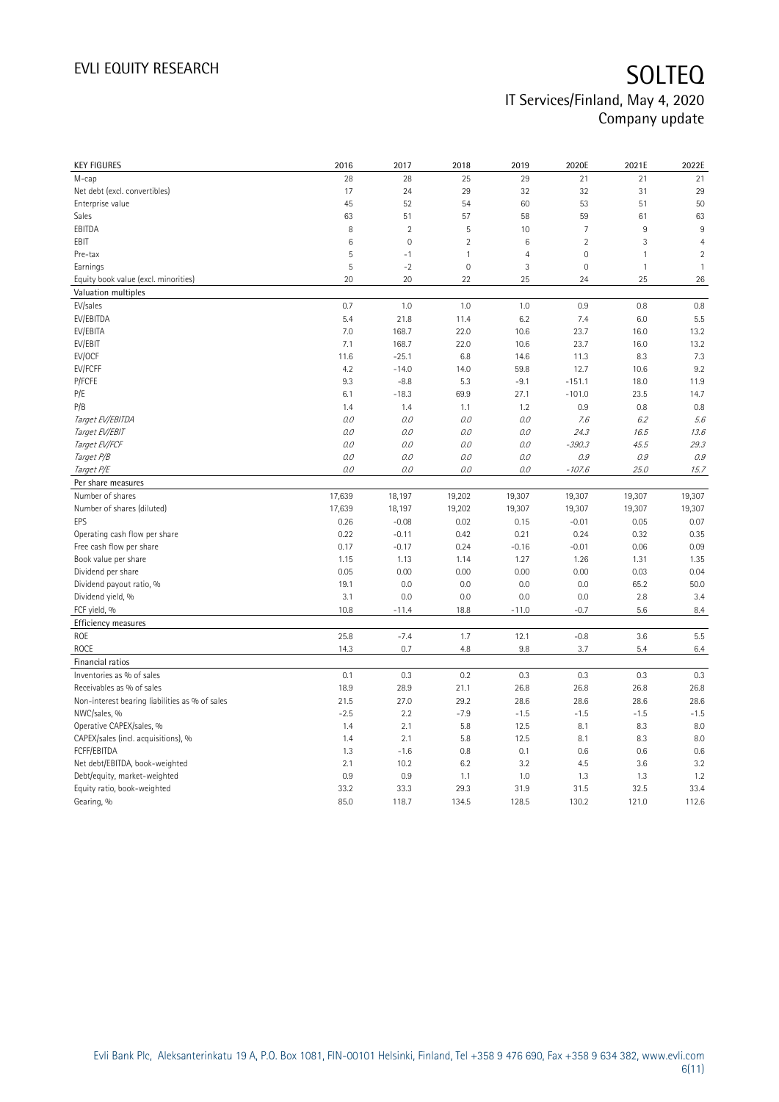| <b>KEY FIGURES</b>                             | 2016         | 2017           | 2018                | 2019           | 2020E          | 2021E         | 2022E          |
|------------------------------------------------|--------------|----------------|---------------------|----------------|----------------|---------------|----------------|
| M-cap                                          | 28           | 28             | 25                  | 29             | 21             | 21            | 21             |
| Net debt (excl. convertibles)                  | 17           | 24             | 29                  | 32             | 32             | 31            | 29             |
| Enterprise value                               | 45           | 52             | 54                  | 60             | 53             | 51            | 50             |
| Sales                                          | 63           | 51             | 57                  | 58             | 59             | 61            | 63             |
| EBITDA                                         | 8            | $\overline{2}$ | 5                   | 10             | $\overline{7}$ | $9\,$         | $9\,$          |
| EBIT                                           | 6            | $\mathbf 0$    | $\overline{2}$      | 6              | $\overline{2}$ | 3             | $\overline{4}$ |
| Pre-tax                                        | 5            | $-1$           | $\mathbf{1}$        | $\overline{4}$ | $\mathbb O$    | 1             | $\overline{2}$ |
| Earnings                                       | 5            | $-2$           | $\mathsf{O}\xspace$ | 3              | $\mathbb O$    | $\mathbf{1}$  | $\mathbf{1}$   |
| Equity book value (excl. minorities)           | 20           | 20             | 22                  | 25             | 24             | 25            | 26             |
| Valuation multiples                            |              |                |                     |                |                |               |                |
| EV/sales                                       | 0.7          | 1.0            | 1.0                 | 1.0            | 0.9            | 0.8           | 0.8            |
| EV/EBITDA                                      | 5.4          | 21.8           | 11.4                | 6.2            | 7.4            | 6.0           | 5.5            |
| EV/EBITA                                       | 7.0          | 168.7          | 22.0                | 10.6           | 23.7           | 16.0          | 13.2           |
| EV/EBIT                                        | 7.1          | 168.7          | 22.0                | 10.6           | 23.7           | 16.0          | 13.2           |
| EV/OCF                                         | 11.6         | $-25.1$        | 6.8                 | 14.6           | 11.3           | 8.3           | 7.3            |
| EV/FCFF                                        | 4.2          | $-14.0$        | 14.0                | 59.8           | 12.7           | 10.6          | 9.2            |
| P/FCFE                                         | 9.3          | $-8.8$         | 5.3                 | $-9.1$         | $-151.1$       | 18.0          | 11.9           |
| P/E                                            | 6.1          | $-18.3$        | 69.9                | 27.1           | $-101.0$       | 23.5          | 14.7           |
| P/B                                            | 1.4          | 1.4            | 1.1                 | 1.2            | 0.9            | 0.8           | 0.8            |
| Target EV/EBITDA                               | 0.0          | 0.0            | 0.0                 | 0.0            | 7.6            | 6.2           | 5.6            |
| Target EV/EBIT                                 | 0.0          | 0.0            | 0.0                 | 0.0            | 24.3           | 16.5          | 13.6           |
| Target EV/FCF                                  | 0.0          | 0.0            | 0.0                 | 0.0            | $-390.3$       | 45.5          | 29.3           |
| Target P/B                                     | 0.0          | 0.0            | 0.0                 | 0.0            | 0.9            | 0.9           | 0.9            |
| Target P/E                                     | 0.0          | 0.0            | 0.0                 | 0.0            | $-107.6$       | 25.0          | 15.7           |
| Per share measures                             |              |                |                     |                |                |               |                |
| Number of shares                               | 17,639       | 18,197         | 19,202              | 19,307         | 19,307         | 19,307        | 19,307         |
| Number of shares (diluted)                     | 17,639       | 18,197         | 19,202              | 19,307         | 19,307         | 19,307        | 19,307         |
| EPS                                            | 0.26         | $-0.08$        | 0.02                | 0.15           | $-0.01$        | 0.05          | 0.07           |
| Operating cash flow per share                  | 0.22         | $-0.11$        | 0.42                | 0.21           | 0.24           | 0.32          | 0.35           |
| Free cash flow per share                       | 0.17         | $-0.17$        | 0.24                | $-0.16$        | $-0.01$        |               | 0.09           |
| Book value per share                           |              |                |                     |                |                |               |                |
|                                                |              |                |                     |                |                | 0.06          |                |
|                                                | 1.15         | 1.13           | 1.14                | 1.27           | 1.26           | 1.31          | 1.35           |
| Dividend per share                             | 0.05         | 0.00           | 0.00                | 0.00           | 0.00           | 0.03          | 0.04           |
| Dividend payout ratio, %                       | 19.1         | 0.0            | 0.0                 | 0.0            | 0.0            | 65.2          | 50.0           |
| Dividend yield, %                              | 3.1          | 0.0            | 0.0                 | 0.0            | 0.0            | 2.8           | 3.4            |
| FCF yield, %                                   | 10.8         | $-11.4$        | 18.8                | $-11.0$        | $-0.7$         | 5.6           | 8.4            |
| Efficiency measures                            |              |                |                     |                |                |               |                |
| ROE                                            | 25.8         | $-7.4$         | 1.7                 | 12.1           | $-0.8$         | 3.6           | 5.5            |
| ROCE<br>Financial ratios                       | 14.3         | 0.7            | 4.8                 | 9.8            | 3.7            | 5.4           | 6.4            |
| Inventories as % of sales                      | 0.1          | 0.3            | 0.2                 | 0.3            | 0.3            | 0.3           | 0.3            |
| Receivables as % of sales                      | 18.9         | 28.9           | 21.1                | 26.8           | 26.8           | 26.8          | 26.8           |
| Non-interest bearing liabilities as % of sales | 21.5         | 27.0           | 29.2                | 28.6           | 28.6           | 28.6          | 28.6           |
|                                                |              |                |                     |                |                |               |                |
| NWC/sales, %                                   | $-2.5$       | 2.2            | $-7.9$              | $-1.5$         | $-1.5$         | $-1.5$        | $-1.5$         |
| Operative CAPEX/sales, %                       | 1.4          | 2.1            | 5.8                 | 12.5           | 8.1            | 8.3           | 8.0            |
| CAPEX/sales (incl. acquisitions), %            | 1.4          | 2.1            | 5.8                 | 12.5           | 8.1            | 8.3           | 8.0            |
| FCFF/EBITDA                                    | 1.3          | $-1.6$         | 0.8                 | 0.1            | 0.6            | 0.6           | 0.6            |
| Net debt/EBITDA, book-weighted                 | 2.1          | 10.2           | 6.2                 | 3.2            | 4.5            | 3.6           | 3.2            |
| Debt/equity, market-weighted                   | 0.9          | 0.9            | 1.1                 | 1.0            | 1.3            | 1.3           | 1.2            |
| Equity ratio, book-weighted<br>Gearing, %      | 33.2<br>85.0 | 33.3<br>118.7  | 29.3<br>134.5       | 31.9<br>128.5  | 31.5<br>130.2  | 32.5<br>121.0 | 33.4<br>112.6  |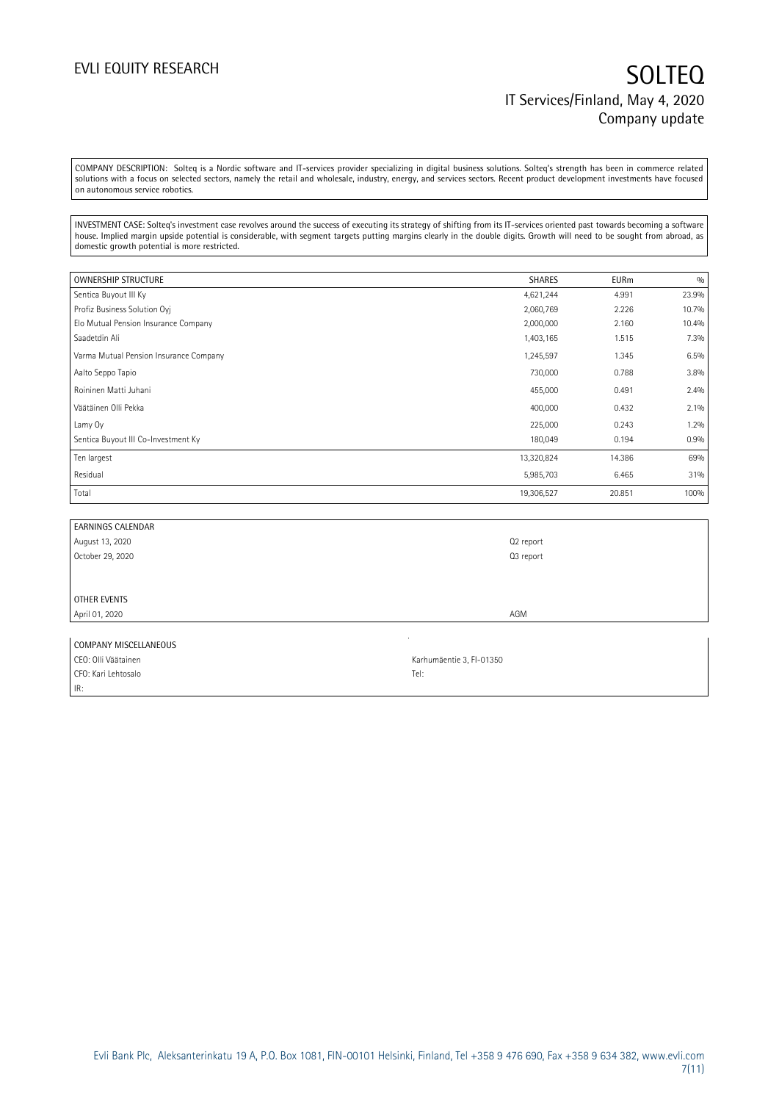COMPANY DESCRIPTION: Solteq is a Nordic software and IT-services provider specializing in digital business solutions. Solteq's strength has been in commerce related solutions with a focus on selected sectors, namely the retail and wholesale, industry, energy, and services sectors. Recent product development investments have focused on autonomous service robotics.

INVESTMENT CASE: Solteq's investment case revolves around the success of executing its strategy of shifting from its IT-services oriented past towards becoming a software house. Implied margin upside potential is considerable, with segment targets putting margins clearly in the double digits. Growth will need to be sought from abroad, as domestic growth potential is more restricted.

| <b>OWNERSHIP STRUCTURE</b>             | <b>SHARES</b> | <b>EURm</b> | 0/0   |
|----------------------------------------|---------------|-------------|-------|
| Sentica Buyout III Ky                  | 4,621,244     | 4.991       | 23.9% |
| Profiz Business Solution Ovi           | 2,060,769     | 2.226       | 10.7% |
| Elo Mutual Pension Insurance Company   | 2,000,000     | 2.160       | 10.4% |
| Saadetdin Ali                          | 1,403,165     | 1.515       | 7.3%  |
| Varma Mutual Pension Insurance Company | 1,245,597     | 1.345       | 6.5%  |
| Aalto Seppo Tapio                      | 730,000       | 0.788       | 3.8%  |
| Roininen Matti Juhani                  | 455,000       | 0.491       | 2.4%  |
| Väätäinen Olli Pekka                   | 400,000       | 0.432       | 2.1%  |
| Lamy Oy                                | 225,000       | 0.243       | 1.2%  |
| Sentica Buyout III Co-Investment Ky    | 180,049       | 0.194       | 0.9%  |
| Ten largest                            | 13,320,824    | 14.386      | 69%   |
| Residual                               | 5,985,703     | 6.465       | 31%   |
| Total                                  | 19,306,527    | 20.851      | 100%  |

| <b>EARNINGS CALENDAR</b> |           |
|--------------------------|-----------|
| August 13, 2020          | Q2 report |
| October 29, 2020         | Q3 report |
|                          |           |
|                          |           |
| OTHER EVENTS             |           |
| April 01, 2020           | AGM       |
|                          |           |

| COMPANY MISCELLANEOUS |                          |
|-----------------------|--------------------------|
| CEO: Olli Väätainen   | Karhumäentie 3, FI-01350 |
| CFO: Kari Lehtosalo   | Tel:                     |
| IR:                   |                          |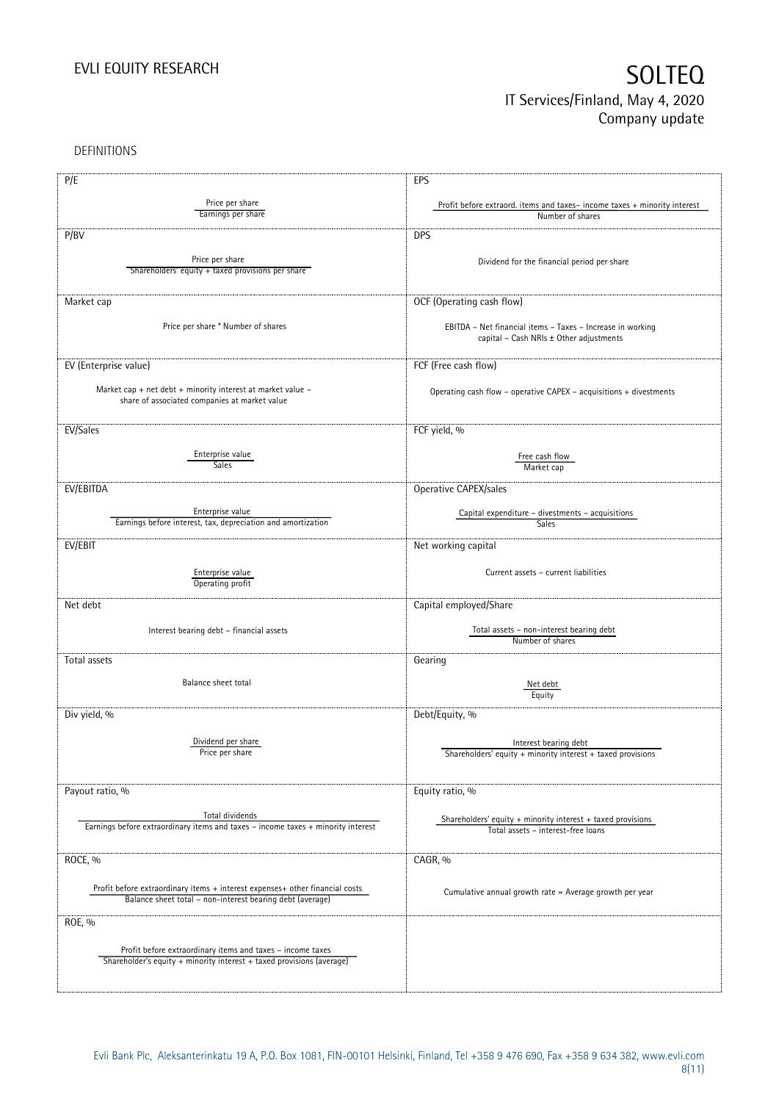DEFINITIONS

| P/E                                                                              | EPS                                                                      |
|----------------------------------------------------------------------------------|--------------------------------------------------------------------------|
|                                                                                  |                                                                          |
| Price per share<br>Earnings per share                                            | Profit before extraord. items and taxes-income taxes + minority interest |
|                                                                                  | Number of shares                                                         |
| P/BV                                                                             | <b>DPS</b>                                                               |
|                                                                                  |                                                                          |
| Price per share                                                                  | Dividend for the financial period per share                              |
| Shareholders' equity + taxed provisions per share                                |                                                                          |
|                                                                                  |                                                                          |
| Market cap                                                                       | OCF (Operating cash flow)                                                |
|                                                                                  |                                                                          |
| Price per share * Number of shares                                               | EBITDA - Net financial items - Taxes - Increase in working               |
|                                                                                  | capital - Cash NRIs ± Other adjustments                                  |
|                                                                                  |                                                                          |
| EV (Enterprise value)                                                            | FCF (Free cash flow)                                                     |
|                                                                                  |                                                                          |
| Market cap + net debt + minority interest at market value $-$                    | Operating cash flow - operative CAPEX - acquisitions + divestments       |
| share of associated companies at market value                                    |                                                                          |
|                                                                                  |                                                                          |
| EV/Sales                                                                         | FCF yield, %                                                             |
|                                                                                  |                                                                          |
| Enterprise value                                                                 | Free cash flow                                                           |
| Sales                                                                            | Market cap                                                               |
| EV/EBITDA                                                                        | Operative CAPEX/sales                                                    |
|                                                                                  |                                                                          |
| Enterprise value                                                                 | Capital expenditure - divestments - acquisitions                         |
| Earnings before interest, tax, depreciation and amortization                     | Sales                                                                    |
|                                                                                  |                                                                          |
| EV/EBIT                                                                          | Net working capital                                                      |
|                                                                                  |                                                                          |
| Enterprise value<br>Operating profit                                             | Current assets - current liabilities                                     |
|                                                                                  |                                                                          |
| Net debt                                                                         | Capital employed/Share                                                   |
|                                                                                  |                                                                          |
| Interest bearing debt - financial assets                                         | Total assets - non-interest bearing debt                                 |
|                                                                                  | Number of shares                                                         |
| Total assets                                                                     | Gearing                                                                  |
|                                                                                  |                                                                          |
| Balance sheet total                                                              | Net debt                                                                 |
|                                                                                  | Equity                                                                   |
| Div yield, %                                                                     | Debt/Equity, %                                                           |
|                                                                                  |                                                                          |
| Dividend per share                                                               | Interest bearing debt                                                    |
| Price per share                                                                  | Shareholders' equity + minority interest + taxed provisions              |
|                                                                                  |                                                                          |
|                                                                                  |                                                                          |
| Payout ratio, %                                                                  | Equity ratio, %                                                          |
|                                                                                  |                                                                          |
| Total dividends                                                                  | Shareholders' equity $+$ minority interest $+$ taxed provisions          |
| Earnings before extraordinary items and taxes - income taxes + minority interest | Total assets - interest-free loans                                       |
|                                                                                  |                                                                          |
| ROCE, %                                                                          | CAGR, %                                                                  |
|                                                                                  |                                                                          |
| Profit before extraordinary items + interest expenses+ other financial costs     |                                                                          |
| Balance sheet total - non-interest bearing debt (average)                        | Cumulative annual growth rate = Average growth per year                  |
|                                                                                  |                                                                          |
| ROE, %                                                                           |                                                                          |
|                                                                                  |                                                                          |
| Profit before extraordinary items and taxes - income taxes                       |                                                                          |
| Shareholder's equity + minority interest + taxed provisions (average)            |                                                                          |
|                                                                                  |                                                                          |
|                                                                                  |                                                                          |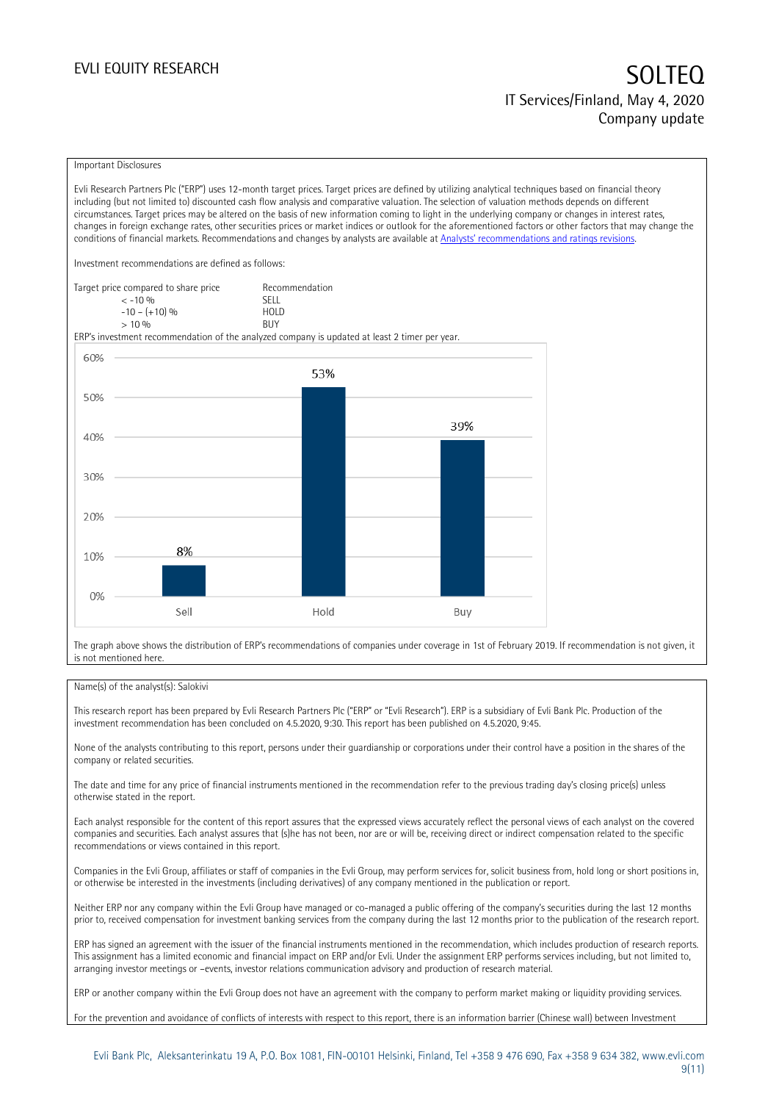#### Important Disclosures

Evli Research Partners Plc ("ERP") uses 12-month target prices. Target prices are defined by utilizing analytical techniques based on financial theory including (but not limited to) discounted cash flow analysis and comparative valuation. The selection of valuation methods depends on different circumstances. Target prices may be altered on the basis of new information coming to light in the underlying company or changes in interest rates, changes in foreign exchange rates, other securities prices or market indices or outlook for the aforementioned factors or other factors that may change the conditions of financial markets. Recommendations and changes by analysts are available at [Analysts' recommendations and ratings revisions](https://research.evli.com/JasperAllModels.action?authParam=key;461&authParam=x;G3rNagWrtf7K&authType=3).

Investment recommendations are defined as follows:

| Target price compared to share price | Recommendation |
|--------------------------------------|----------------|
| $<-10.96$                            | <b>SFII</b>    |
| $-10 - (+10)$ %                      | HOI D          |
| $> 10\%$                             | <b>BUY</b>     |

ERP's investment recommendation of the analyzed company is updated at least 2 timer per year.



The graph above shows the distribution of ERP's recommendations of companies under coverage in 1st of February 2019. If recommendation is not given, it is not mentioned here.

#### Name(s) of the analyst(s): Salokivi

This research report has been prepared by Evli Research Partners Plc ("ERP" or "Evli Research"). ERP is a subsidiary of Evli Bank Plc. Production of the investment recommendation has been concluded on 4.5.2020, 9:30. This report has been published on 4.5.2020, 9:45.

None of the analysts contributing to this report, persons under their guardianship or corporations under their control have a position in the shares of the company or related securities.

The date and time for any price of financial instruments mentioned in the recommendation refer to the previous trading day's closing price(s) unless otherwise stated in the report.

Each analyst responsible for the content of this report assures that the expressed views accurately reflect the personal views of each analyst on the covered companies and securities. Each analyst assures that (s)he has not been, nor are or will be, receiving direct or indirect compensation related to the specific recommendations or views contained in this report.

Companies in the Evli Group, affiliates or staff of companies in the Evli Group, may perform services for, solicit business from, hold long or short positions in, or otherwise be interested in the investments (including derivatives) of any company mentioned in the publication or report.

Neither ERP nor any company within the Evli Group have managed or co-managed a public offering of the company's securities during the last 12 months prior to, received compensation for investment banking services from the company during the last 12 months prior to the publication of the research report.

ERP has signed an agreement with the issuer of the financial instruments mentioned in the recommendation, which includes production of research reports. This assignment has a limited economic and financial impact on ERP and/or Evli. Under the assignment ERP performs services including, but not limited to, arranging investor meetings or –events, investor relations communication advisory and production of research material.

ERP or another company within the Evli Group does not have an agreement with the company to perform market making or liquidity providing services.

For the prevention and avoidance of conflicts of interests with respect to this report, there is an information barrier (Chinese wall) between Investment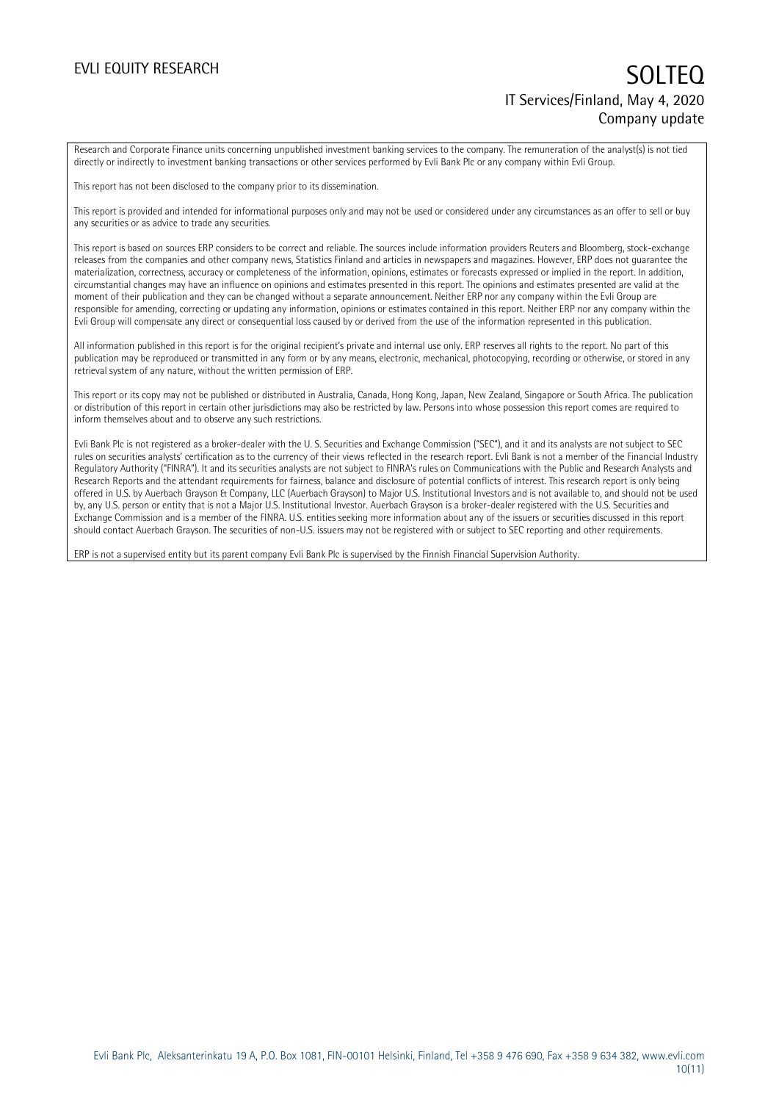Research and Corporate Finance units concerning unpublished investment banking services to the company. The remuneration of the analyst(s) is not tied directly or indirectly to investment banking transactions or other services performed by Evli Bank Plc or any company within Evli Group.

This report has not been disclosed to the company prior to its dissemination.

This report is provided and intended for informational purposes only and may not be used or considered under any circumstances as an offer to sell or buy any securities or as advice to trade any securities.

This report is based on sources ERP considers to be correct and reliable. The sources include information providers Reuters and Bloomberg, stock-exchange releases from the companies and other company news, Statistics Finland and articles in newspapers and magazines. However, ERP does not guarantee the materialization, correctness, accuracy or completeness of the information, opinions, estimates or forecasts expressed or implied in the report. In addition, circumstantial changes may have an influence on opinions and estimates presented in this report. The opinions and estimates presented are valid at the moment of their publication and they can be changed without a separate announcement. Neither ERP nor any company within the Evli Group are responsible for amending, correcting or updating any information, opinions or estimates contained in this report. Neither ERP nor any company within the Evli Group will compensate any direct or consequential loss caused by or derived from the use of the information represented in this publication.

All information published in this report is for the original recipient's private and internal use only. ERP reserves all rights to the report. No part of this publication may be reproduced or transmitted in any form or by any means, electronic, mechanical, photocopying, recording or otherwise, or stored in any retrieval system of any nature, without the written permission of ERP.

This report or its copy may not be published or distributed in Australia, Canada, Hong Kong, Japan, New Zealand, Singapore or South Africa. The publication or distribution of this report in certain other jurisdictions may also be restricted by law. Persons into whose possession this report comes are required to inform themselves about and to observe any such restrictions.

Evli Bank Plc is not registered as a broker-dealer with the U. S. Securities and Exchange Commission ("SEC"), and it and its analysts are not subject to SEC rules on securities analysts' certification as to the currency of their views reflected in the research report. Evli Bank is not a member of the Financial Industry Regulatory Authority ("FINRA"). It and its securities analysts are not subject to FINRA's rules on Communications with the Public and Research Analysts and Research Reports and the attendant requirements for fairness, balance and disclosure of potential conflicts of interest. This research report is only being offered in U.S. by Auerbach Grayson & Company, LLC (Auerbach Grayson) to Major U.S. Institutional Investors and is not available to, and should not be used by, any U.S. person or entity that is not a Major U.S. Institutional Investor. Auerbach Grayson is a broker-dealer registered with the U.S. Securities and Exchange Commission and is a member of the FINRA. U.S. entities seeking more information about any of the issuers or securities discussed in this report should contact Auerbach Grayson. The securities of non-U.S. issuers may not be registered with or subject to SEC reporting and other requirements.

ERP is not a supervised entity but its parent company Evli Bank Plc is supervised by the Finnish Financial Supervision Authority.